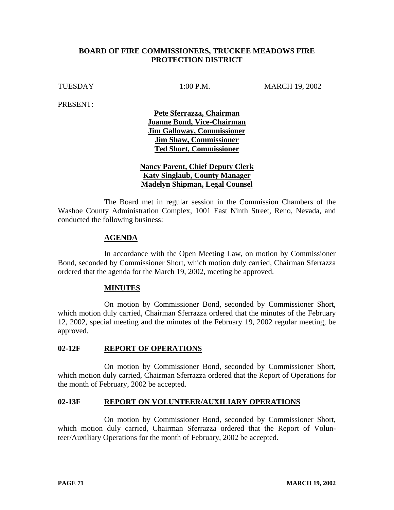# **BOARD OF FIRE COMMISSIONERS, TRUCKEE MEADOWS FIRE PROTECTION DISTRICT**

TUESDAY 1:00 P.M. MARCH 19, 2002

PRESENT:

**Pete Sferrazza, Chairman Joanne Bond, Vice-Chairman Jim Galloway, Commissioner Jim Shaw, Commissioner Ted Short, Commissioner**

**Nancy Parent, Chief Deputy Clerk Katy Singlaub, County Manager Madelyn Shipman, Legal Counsel**

 The Board met in regular session in the Commission Chambers of the Washoe County Administration Complex, 1001 East Ninth Street, Reno, Nevada, and conducted the following business:

## **AGENDA**

In accordance with the Open Meeting Law, on motion by Commissioner Bond, seconded by Commissioner Short, which motion duly carried, Chairman Sferrazza ordered that the agenda for the March 19, 2002, meeting be approved.

### **MINUTES**

On motion by Commissioner Bond, seconded by Commissioner Short, which motion duly carried, Chairman Sferrazza ordered that the minutes of the February 12, 2002, special meeting and the minutes of the February 19, 2002 regular meeting, be approved.

### **02-12F REPORT OF OPERATIONS**

On motion by Commissioner Bond, seconded by Commissioner Short, which motion duly carried, Chairman Sferrazza ordered that the Report of Operations for the month of February, 2002 be accepted.

### **02-13F REPORT ON VOLUNTEER/AUXILIARY OPERATIONS**

On motion by Commissioner Bond, seconded by Commissioner Short, which motion duly carried, Chairman Sferrazza ordered that the Report of Volunteer/Auxiliary Operations for the month of February, 2002 be accepted.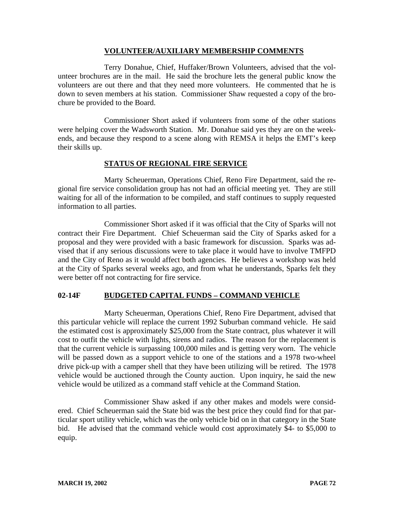## **VOLUNTEER/AUXILIARY MEMBERSHIP COMMENTS**

Terry Donahue, Chief, Huffaker/Brown Volunteers, advised that the volunteer brochures are in the mail. He said the brochure lets the general public know the volunteers are out there and that they need more volunteers. He commented that he is down to seven members at his station. Commissioner Shaw requested a copy of the brochure be provided to the Board.

Commissioner Short asked if volunteers from some of the other stations were helping cover the Wadsworth Station. Mr. Donahue said yes they are on the weekends, and because they respond to a scene along with REMSA it helps the EMT's keep their skills up.

# **STATUS OF REGIONAL FIRE SERVICE**

Marty Scheuerman, Operations Chief, Reno Fire Department, said the regional fire service consolidation group has not had an official meeting yet. They are still waiting for all of the information to be compiled, and staff continues to supply requested information to all parties.

Commissioner Short asked if it was official that the City of Sparks will not contract their Fire Department. Chief Scheuerman said the City of Sparks asked for a proposal and they were provided with a basic framework for discussion. Sparks was advised that if any serious discussions were to take place it would have to involve TMFPD and the City of Reno as it would affect both agencies. He believes a workshop was held at the City of Sparks several weeks ago, and from what he understands, Sparks felt they were better off not contracting for fire service.

# **02-14F BUDGETED CAPITAL FUNDS – COMMAND VEHICLE**

Marty Scheuerman, Operations Chief, Reno Fire Department, advised that this particular vehicle will replace the current 1992 Suburban command vehicle. He said the estimated cost is approximately \$25,000 from the State contract, plus whatever it will cost to outfit the vehicle with lights, sirens and radios. The reason for the replacement is that the current vehicle is surpassing 100,000 miles and is getting very worn. The vehicle will be passed down as a support vehicle to one of the stations and a 1978 two-wheel drive pick-up with a camper shell that they have been utilizing will be retired. The 1978 vehicle would be auctioned through the County auction. Upon inquiry, he said the new vehicle would be utilized as a command staff vehicle at the Command Station.

Commissioner Shaw asked if any other makes and models were considered. Chief Scheuerman said the State bid was the best price they could find for that particular sport utility vehicle, which was the only vehicle bid on in that category in the State bid. He advised that the command vehicle would cost approximately \$4- to \$5,000 to equip.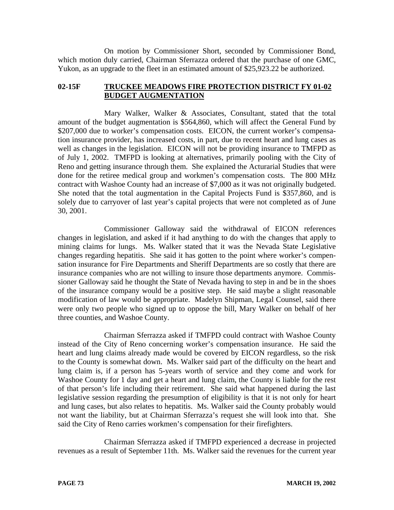On motion by Commissioner Short, seconded by Commissioner Bond, which motion duly carried, Chairman Sferrazza ordered that the purchase of one GMC, Yukon, as an upgrade to the fleet in an estimated amount of \$25,923.22 be authorized.

# **02-15F TRUCKEE MEADOWS FIRE PROTECTION DISTRICT FY 01-02 BUDGET AUGMENTATION**

Mary Walker, Walker & Associates, Consultant, stated that the total amount of the budget augmentation is \$564,860, which will affect the General Fund by \$207,000 due to worker's compensation costs. EICON, the current worker's compensation insurance provider, has increased costs, in part, due to recent heart and lung cases as well as changes in the legislation. EICON will not be providing insurance to TMFPD as of July 1, 2002. TMFPD is looking at alternatives, primarily pooling with the City of Reno and getting insurance through them. She explained the Acturarial Studies that were done for the retiree medical group and workmen's compensation costs. The 800 MHz contract with Washoe County had an increase of \$7,000 as it was not originally budgeted. She noted that the total augmentation in the Capital Projects Fund is \$357,860, and is solely due to carryover of last year's capital projects that were not completed as of June 30, 2001.

Commissioner Galloway said the withdrawal of EICON references changes in legislation, and asked if it had anything to do with the changes that apply to mining claims for lungs. Ms. Walker stated that it was the Nevada State Legislative changes regarding hepatitis. She said it has gotten to the point where worker's compensation insurance for Fire Departments and Sheriff Departments are so costly that there are insurance companies who are not willing to insure those departments anymore. Commissioner Galloway said he thought the State of Nevada having to step in and be in the shoes of the insurance company would be a positive step. He said maybe a slight reasonable modification of law would be appropriate. Madelyn Shipman, Legal Counsel, said there were only two people who signed up to oppose the bill, Mary Walker on behalf of her three counties, and Washoe County.

Chairman Sferrazza asked if TMFPD could contract with Washoe County instead of the City of Reno concerning worker's compensation insurance. He said the heart and lung claims already made would be covered by EICON regardless, so the risk to the County is somewhat down. Ms. Walker said part of the difficulty on the heart and lung claim is, if a person has 5-years worth of service and they come and work for Washoe County for 1 day and get a heart and lung claim, the County is liable for the rest of that person's life including their retirement. She said what happened during the last legislative session regarding the presumption of eligibility is that it is not only for heart and lung cases, but also relates to hepatitis. Ms. Walker said the County probably would not want the liability, but at Chairman Sferrazza's request she will look into that. She said the City of Reno carries workmen's compensation for their firefighters.

Chairman Sferrazza asked if TMFPD experienced a decrease in projected revenues as a result of September 11th. Ms. Walker said the revenues for the current year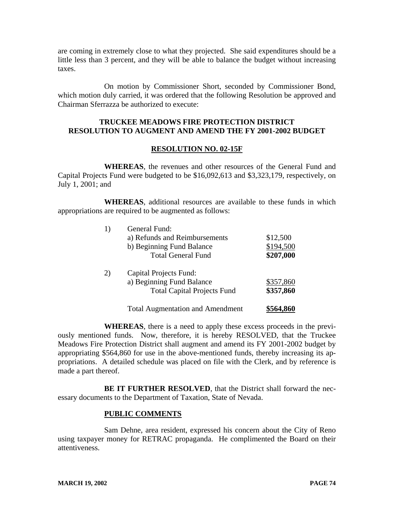are coming in extremely close to what they projected. She said expenditures should be a little less than 3 percent, and they will be able to balance the budget without increasing taxes.

On motion by Commissioner Short, seconded by Commissioner Bond, which motion duly carried, it was ordered that the following Resolution be approved and Chairman Sferrazza be authorized to execute:

# **TRUCKEE MEADOWS FIRE PROTECTION DISTRICT RESOLUTION TO AUGMENT AND AMEND THE FY 2001-2002 BUDGET**

## **RESOLUTION NO. 02-15F**

**WHEREAS**, the revenues and other resources of the General Fund and Capital Projects Fund were budgeted to be \$16,092,613 and \$3,323,179, respectively, on July 1, 2001; and

**WHEREAS**, additional resources are available to these funds in which appropriations are required to be augmented as follows:

|    | General Fund:                           |           |
|----|-----------------------------------------|-----------|
|    | a) Refunds and Reimbursements           | \$12,500  |
|    | b) Beginning Fund Balance               | \$194,500 |
|    | <b>Total General Fund</b>               | \$207,000 |
| 2) | <b>Capital Projects Fund:</b>           |           |
|    | a) Beginning Fund Balance               | \$357,860 |
|    | <b>Total Capital Projects Fund</b>      | \$357,860 |
|    | <b>Total Augmentation and Amendment</b> | \$564,860 |

**WHEREAS**, there is a need to apply these excess proceeds in the previously mentioned funds. Now, therefore, it is hereby RESOLVED, that the Truckee Meadows Fire Protection District shall augment and amend its FY 2001-2002 budget by appropriating \$564,860 for use in the above-mentioned funds, thereby increasing its appropriations. A detailed schedule was placed on file with the Clerk, and by reference is made a part thereof.

**BE IT FURTHER RESOLVED**, that the District shall forward the necessary documents to the Department of Taxation, State of Nevada.

## **PUBLIC COMMENTS**

Sam Dehne, area resident, expressed his concern about the City of Reno using taxpayer money for RETRAC propaganda. He complimented the Board on their attentiveness.